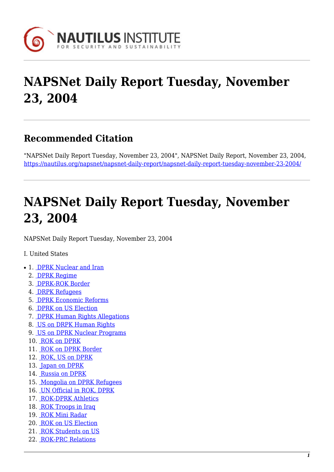

# **NAPSNet Daily Report Tuesday, November 23, 2004**

# **Recommended Citation**

"NAPSNet Daily Report Tuesday, November 23, 2004", NAPSNet Daily Report, November 23, 2004, <https://nautilus.org/napsnet/napsnet-daily-report/napsnet-daily-report-tuesday-november-23-2004/>

# **NAPSNet Daily Report Tuesday, November 23, 2004**

<span id="page-0-0"></span>NAPSNet Daily Report Tuesday, November 23, 2004

I. United States

- 1. [DPRK Nuclear and Iran](#page-1-0)
	- 2. [DPRK Regime](#page-1-1)
	- 3. [DPRK-ROK Border](#page-1-2)
	- 4. [DRPK Refugees](#page-1-3)
	- 5. [DPRK Economic Reforms](#page-2-0)
	- 6. [DPRK on US Election](#page-2-1)
	- 7. [DPRK Human Rights Allegations](#page-2-2)
	- 8. [US on DRPK Human Rights](#page-2-3)
	- 9. [US on DPRK Nuclear Programs](#page-3-0)
	- 10. [ROK on DPRK](#page-3-1)
	- 11. [ROK on DPRK Border](#page-3-2)
	- 12. [ROK, US on DPRK](#page-3-3)
	- 13. [Japan on DPRK](#page-3-4)
	- 14. [Russia on DPRK](#page-4-0)
	- 15. [Mongolia on DPRK Refugees](#page-4-1)
	- 16. [UN Official in ROK, DPRK](#page-4-2)
	- 17. [ROK-DPRK Athletics](#page-4-3)
	- 18. [ROK Troops in Iraq](#page-4-4)
	- 19. [ROK Mini Radar](#page-5-0)
	- 20. [ROK on US Election](#page-5-1)
	- 21. [ROK Students on US](#page-5-2)
	- 22. [ROK-PRC Relations](#page-5-3)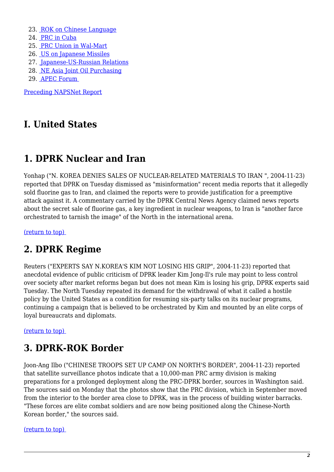- 23. [ROK on Chinese Language](#page-6-0)
- 24. [PRC in Cuba](#page-6-1)
- 25. [PRC Union in Wal-Mart](#page-6-2)
- 26. [US on Japanese Missiles](#page-6-3)
- 27. [Japanese-US-Russian Relations](#page-6-4)
- 28. [NE Asia Joint Oil Purchasing](#page-7-0)
- 29. [APEC Forum](#page-7-1)

[Preceding NAPSNet Report](https://nautilus.org/mailing-lists/napsnet/dr/2004-2/napsnet-daily-report-monday-november-22-2004/)

#### **I. United States**

# <span id="page-1-0"></span>**1. DPRK Nuclear and Iran**

Yonhap ("N. KOREA DENIES SALES OF NUCLEAR-RELATED MATERIALS TO IRAN ", 2004-11-23) reported that DPRK on Tuesday dismissed as "misinformation" recent media reports that it allegedly sold fluorine gas to Iran, and claimed the reports were to provide justification for a preemptive attack against it. A commentary carried by the DPRK Central News Agency claimed news reports about the secret sale of fluorine gas, a key ingredient in nuclear weapons, to Iran is "another farce orchestrated to tarnish the image" of the North in the international arena.

<span id="page-1-1"></span>[\(return to top\)](#page-0-0) 

# **2. DPRK Regime**

Reuters ("EXPERTS SAY N.KOREA'S KIM NOT LOSING HIS GRIP", 2004-11-23) reported that anecdotal evidence of public criticism of DPRK leader Kim Jong-Il's rule may point to less control over society after market reforms began but does not mean Kim is losing his grip, DPRK experts said Tuesday. The North Tuesday repeated its demand for the withdrawal of what it called a hostile policy by the United States as a condition for resuming six-party talks on its nuclear programs, continuing a campaign that is believed to be orchestrated by Kim and mounted by an elite corps of loyal bureaucrats and diplomats.

<span id="page-1-2"></span>[\(return to top\)](#page-0-0) 

# **3. DPRK-ROK Border**

Joon-Ang Ilbo ("CHINESE TROOPS SET UP CAMP ON NORTH'S BORDER", 2004-11-23) reported that satellite surveillance photos indicate that a 10,000-man PRC army division is making preparations for a prolonged deployment along the PRC-DPRK border, sources in Washington said. The sources said on Monday that the photos show that the PRC division, which in September moved from the interior to the border area close to DPRK, was in the process of building winter barracks. "These forces are elite combat soldiers and are now being positioned along the Chinese-North Korean border," the sources said.

<span id="page-1-3"></span>[\(return to top\)](#page-0-0)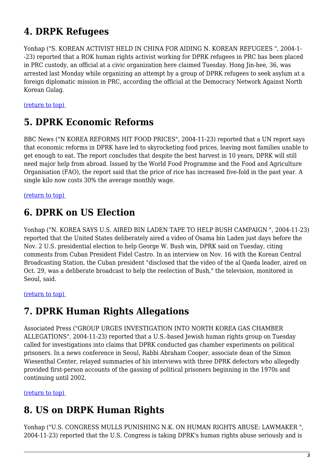# **4. DRPK Refugees**

Yonhap ("S. KOREAN ACTIVIST HELD IN CHINA FOR AIDING N. KOREAN REFUGEES ", 2004-1- -23) reported that a ROK human rights activist working for DPRK refugees in PRC has been placed in PRC custody, an official at a civic organization here claimed Tuesday. Hong Jin-hee, 36, was arrested last Monday while organizing an attempt by a group of DPRK refugees to seek asylum at a foreign diplomatic mission in PRC, according the official at the Democracy Network Against North Korean Gulag.

<span id="page-2-0"></span>[\(return to top\)](#page-0-0) 

#### **5. DPRK Economic Reforms**

BBC News ("N KOREA REFORMS HIT FOOD PRICES", 2004-11-23) reported that a UN report says that economic reforms in DPRK have led to skyrocketing food prices, leaving most families unable to get enough to eat. The report concludes that despite the best harvest in 10 years, DPRK will still need major help from abroad. Issued by the World Food Programme and the Food and Agriculture Organisation (FAO), the report said that the price of rice has increased five-fold in the past year. A single kilo now costs 30% the average monthly wage.

<span id="page-2-1"></span>[\(return to top\)](#page-0-0) 

#### **6. DPRK on US Election**

Yonhap ("N. KOREA SAYS U.S. AIRED BIN LADEN TAPE TO HELP BUSH CAMPAIGN ", 2004-11-23) reported that the United States deliberately aired a video of Osama bin Laden just days before the Nov. 2 U.S. presidential election to help George W. Bush win, DPRK said on Tuesday, citing comments from Cuban President Fidel Castro. In an interview on Nov. 16 with the Korean Central Broadcasting Station, the Cuban president "disclosed that the video of the al Qaeda leader, aired on Oct. 29, was a deliberate broadcast to help the reelection of Bush," the television, monitored in Seoul, said.

<span id="page-2-2"></span>[\(return to top\)](#page-0-0) 

#### **7. DPRK Human Rights Allegations**

Associated Press ("GROUP URGES INVESTIGATION INTO NORTH KOREA GAS CHAMBER ALLEGATIONS", 2004-11-23) reported that a U.S.-based Jewish human rights group on Tuesday called for investigations into claims that DPRK conducted gas chamber experiments on political prisoners. In a news conference in Seoul, Rabbi Abraham Cooper, associate dean of the Simon Wiesenthal Center, relayed summaries of his interviews with three DPRK defectors who allegedly provided first-person accounts of the gassing of political prisoners beginning in the 1970s and continuing until 2002.

<span id="page-2-3"></span>[\(return to top\)](#page-0-0) 

# **8. US on DRPK Human Rights**

Yonhap ("U.S. CONGRESS MULLS PUNISHING N.K. ON HUMAN RIGHTS ABUSE: LAWMAKER ", 2004-11-23) reported that the U.S. Congress is taking DPRK's human rights abuse seriously and is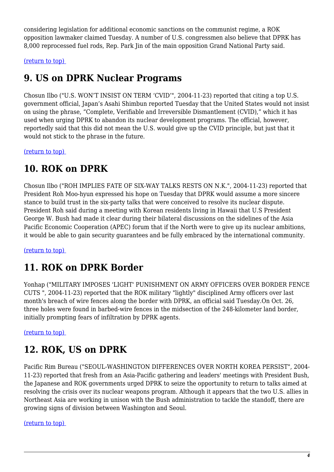considering legislation for additional economic sanctions on the communist regime, a ROK opposition lawmaker claimed Tuesday. A number of U.S. congressmen also believe that DPRK has 8,000 reprocessed fuel rods, Rep. Park Jin of the main opposition Grand National Party said.

<span id="page-3-0"></span>[\(return to top\)](#page-0-0) 

# **9. US on DPRK Nuclear Programs**

Chosun Ilbo ("U.S. WON'T INSIST ON TERM 'CVID'", 2004-11-23) reported that citing a top U.S. government official, Japan's Asahi Shimbun reported Tuesday that the United States would not insist on using the phrase, "Complete, Verifiable and Irreversible Dismantlement (CVID)," which it has used when urging DPRK to abandon its nuclear development programs. The official, however, reportedly said that this did not mean the U.S. would give up the CVID principle, but just that it would not stick to the phrase in the future.

<span id="page-3-1"></span>[\(return to top\)](#page-0-0) 

#### **10. ROK on DPRK**

Chosun Ilbo ("ROH IMPLIES FATE OF SIX-WAY TALKS RESTS ON N.K.", 2004-11-23) reported that President Roh Moo-hyun expressed his hope on Tuesday that DPRK would assume a more sincere stance to build trust in the six-party talks that were conceived to resolve its nuclear dispute. President Roh said during a meeting with Korean residents living in Hawaii that U.S President George W. Bush had made it clear during their bilateral discussions on the sidelines of the Asia Pacific Economic Cooperation (APEC) forum that if the North were to give up its nuclear ambitions, it would be able to gain security guarantees and be fully embraced by the international community.

<span id="page-3-2"></span>[\(return to top\)](#page-0-0) 

# **11. ROK on DPRK Border**

Yonhap ("MILITARY IMPOSES 'LIGHT' PUNISHMENT ON ARMY OFFICERS OVER BORDER FENCE CUTS ", 2004-11-23) reported that the ROK military "lightly" disciplined Army officers over last month's breach of wire fences along the border with DPRK, an official said Tuesday.On Oct. 26, three holes were found in barbed-wire fences in the midsection of the 248-kilometer land border, initially prompting fears of infiltration by DPRK agents.

<span id="page-3-3"></span>[\(return to top\)](#page-0-0) 

# **12. ROK, US on DPRK**

Pacific Rim Bureau ("SEOUL-WASHINGTON DIFFERENCES OVER NORTH KOREA PERSIST", 2004- 11-23) reported that fresh from an Asia-Pacific gathering and leaders' meetings with President Bush, the Japanese and ROK governments urged DPRK to seize the opportunity to return to talks aimed at resolving the crisis over its nuclear weapons program. Although it appears that the two U.S. allies in Northeast Asia are working in unison with the Bush administration to tackle the standoff, there are growing signs of division between Washington and Seoul.

<span id="page-3-4"></span>[\(return to top\)](#page-0-0)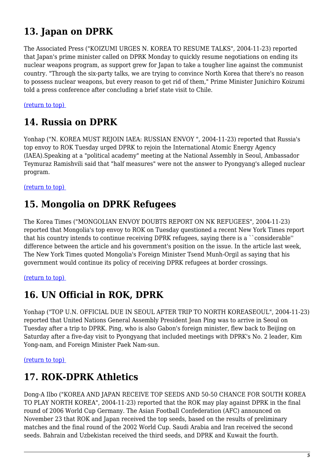# **13. Japan on DPRK**

The Associated Press ("KOIZUMI URGES N. KOREA TO RESUME TALKS", 2004-11-23) reported that Japan's prime minister called on DPRK Monday to quickly resume negotiations on ending its nuclear weapons program, as support grew for Japan to take a tougher line against the communist country. "Through the six-party talks, we are trying to convince North Korea that there's no reason to possess nuclear weapons, but every reason to get rid of them," Prime Minister Junichiro Koizumi told a press conference after concluding a brief state visit to Chile.

<span id="page-4-0"></span>[\(return to top\)](#page-0-0) 

#### **14. Russia on DPRK**

Yonhap ("N. KOREA MUST REJOIN IAEA: RUSSIAN ENVOY", 2004-11-23) reported that Russia's top envoy to ROK Tuesday urged DPRK to rejoin the International Atomic Energy Agency (IAEA).Speaking at a "political academy" meeting at the National Assembly in Seoul, Ambassador Teymuraz Ramishvili said that "half measures" were not the answer to Pyongyang's alleged nuclear program.

<span id="page-4-1"></span>[\(return to top\)](#page-0-0) 

#### **15. Mongolia on DPRK Refugees**

The Korea Times ("MONGOLIAN ENVOY DOUBTS REPORT ON NK REFUGEES", 2004-11-23) reported that Mongolia's top envoy to ROK on Tuesday questioned a recent New York Times report that his country intends to continue receiving DPRK refugees, saying there is a ``considerable'' difference between the article and his government's position on the issue. In the article last week, The New York Times quoted Mongolia's Foreign Minister Tsend Munh-Orgil as saying that his government would continue its policy of receiving DPRK refugees at border crossings.

<span id="page-4-2"></span>[\(return to top\)](#page-0-0) 

# **16. UN Official in ROK, DPRK**

Yonhap ("TOP U.N. OFFICIAL DUE IN SEOUL AFTER TRIP TO NORTH KOREASEOUL", 2004-11-23) reported that United Nations General Assembly President Jean Ping was to arrive in Seoul on Tuesday after a trip to DPRK. Ping, who is also Gabon's foreign minister, flew back to Beijing on Saturday after a five-day visit to Pyongyang that included meetings with DPRK's No. 2 leader, Kim Yong-nam, and Foreign Minister Paek Nam-sun.

<span id="page-4-3"></span>[\(return to top\)](#page-0-0) 

# **17. ROK-DPRK Athletics**

<span id="page-4-4"></span>Dong-A Ilbo ("KOREA AND JAPAN RECEIVE TOP SEEDS AND 50-50 CHANCE FOR SOUTH KOREA TO PLAY NORTH KOREA", 2004-11-23) reported that the ROK may play against DPRK in the final round of 2006 World Cup Germany. The Asian Football Confederation (AFC) announced on November 23 that ROK and Japan received the top seeds, based on the results of preliminary matches and the final round of the 2002 World Cup. Saudi Arabia and Iran received the second seeds. Bahrain and Uzbekistan received the third seeds, and DPRK and Kuwait the fourth.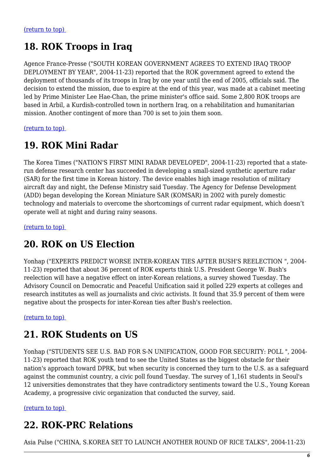# **18. ROK Troops in Iraq**

Agence France-Presse ("SOUTH KOREAN GOVERNMENT AGREES TO EXTEND IRAQ TROOP DEPLOYMENT BY YEAR", 2004-11-23) reported that the ROK government agreed to extend the deployment of thousands of its troops in Iraq by one year until the end of 2005, officials said. The decision to extend the mission, due to expire at the end of this year, was made at a cabinet meeting led by Prime Minister Lee Hae-Chan, the prime minister's office said. Some 2,800 ROK troops are based in Arbil, a Kurdish-controlled town in northern Iraq, on a rehabilitation and humanitarian mission. Another contingent of more than 700 is set to join them soon.

<span id="page-5-0"></span>[\(return to top\)](#page-0-0) 

# **19. ROK Mini Radar**

The Korea Times ("NATION'S FIRST MINI RADAR DEVELOPED", 2004-11-23) reported that a staterun defense research center has succeeded in developing a small-sized synthetic aperture radar (SAR) for the first time in Korean history. The device enables high image resolution of military aircraft day and night, the Defense Ministry said Tuesday. The Agency for Defense Development (ADD) began developing the Korean Miniature SAR (KOMSAR) in 2002 with purely domestic technology and materials to overcome the shortcomings of current radar equipment, which doesn't operate well at night and during rainy seasons.

<span id="page-5-1"></span>[\(return to top\)](#page-0-0) 

#### **20. ROK on US Election**

Yonhap ("EXPERTS PREDICT WORSE INTER-KOREAN TIES AFTER BUSH'S REELECTION ", 2004- 11-23) reported that about 36 percent of ROK experts think U.S. President George W. Bush's reelection will have a negative effect on inter-Korean relations, a survey showed Tuesday. The Advisory Council on Democratic and Peaceful Unification said it polled 229 experts at colleges and research institutes as well as journalists and civic activists. It found that 35.9 percent of them were negative about the prospects for inter-Korean ties after Bush's reelection.

<span id="page-5-2"></span>[\(return to top\)](#page-0-0) 

#### **21. ROK Students on US**

Yonhap ("STUDENTS SEE U.S. BAD FOR S-N UNIFICATION, GOOD FOR SECURITY: POLL ", 2004- 11-23) reported that ROK youth tend to see the United States as the biggest obstacle for their nation's approach toward DPRK, but when security is concerned they turn to the U.S. as a safeguard against the communist country, a civic poll found Tuesday. The survey of 1,161 students in Seoul's 12 universities demonstrates that they have contradictory sentiments toward the U.S., Young Korean Academy, a progressive civic organization that conducted the survey, said.

<span id="page-5-3"></span>[\(return to top\)](#page-0-0) 

#### **22. ROK-PRC Relations**

Asia Pulse ("CHINA, S.KOREA SET TO LAUNCH ANOTHER ROUND OF RICE TALKS", 2004-11-23)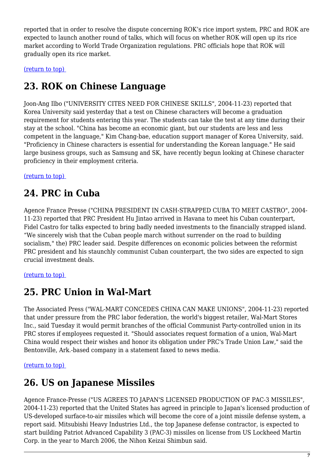reported that in order to resolve the dispute concerning ROK's rice import system, PRC and ROK are expected to launch another round of talks, which will focus on whether ROK will open up its rice market according to World Trade Organization regulations. PRC officials hope that ROK will gradually open its rice market.

<span id="page-6-0"></span>[\(return to top\)](#page-0-0) 

# **23. ROK on Chinese Language**

Joon-Ang Ilbo ("UNIVERSITY CITES NEED FOR CHINESE SKILLS", 2004-11-23) reported that Korea University said yesterday that a test on Chinese characters will become a graduation requirement for students entering this year. The students can take the test at any time during their stay at the school. "China has become an economic giant, but our students are less and less competent in the language," Kim Chang-bae, education support manager of Korea University, said. "Proficiency in Chinese characters is essential for understanding the Korean language." He said large business groups, such as Samsung and SK, have recently begun looking at Chinese character proficiency in their employment criteria.

<span id="page-6-1"></span>[\(return to top\)](#page-0-0) 

# **24. PRC in Cuba**

Agence France Presse ("CHINA PRESIDENT IN CASH-STRAPPED CUBA TO MEET CASTRO", 2004- 11-23) reported that PRC President Hu Jintao arrived in Havana to meet his Cuban counterpart, Fidel Castro for talks expected to bring badly needed investments to the financially strapped island. "We sincerely wish that the Cuban people march without surrender on the road to building socialism," the) PRC leader said. Despite differences on economic policies between the reformist PRC president and his staunchly communist Cuban counterpart, the two sides are expected to sign crucial investment deals.

<span id="page-6-2"></span>[\(return to top\)](#page-0-0) 

# **25. PRC Union in Wal-Mart**

The Associated Press ("WAL-MART CONCEDES CHINA CAN MAKE UNIONS", 2004-11-23) reported that under pressure from the PRC labor federation, the world's biggest retailer, Wal-Mart Stores Inc., said Tuesday it would permit branches of the official Communist Party-controlled union in its PRC stores if employees requested it. "Should associates request formation of a union, Wal-Mart China would respect their wishes and honor its obligation under PRC's Trade Union Law," said the Bentonville, Ark.-based company in a statement faxed to news media.

#### <span id="page-6-3"></span>[\(return to top\)](#page-0-0)

# **26. US on Japanese Missiles**

<span id="page-6-4"></span>Agence France-Presse ("US AGREES TO JAPAN'S LICENSED PRODUCTION OF PAC-3 MISSILES", 2004-11-23) reported that the United States has agreed in principle to Japan's licensed production of US-developed surface-to-air missiles which will become the core of a joint missile defense system, a report said. Mitsubishi Heavy Industries Ltd., the top Japanese defense contractor, is expected to start building Patriot Advanced Capability 3 (PAC-3) missiles on license from US Lockheed Martin Corp. in the year to March 2006, the Nihon Keizai Shimbun said.